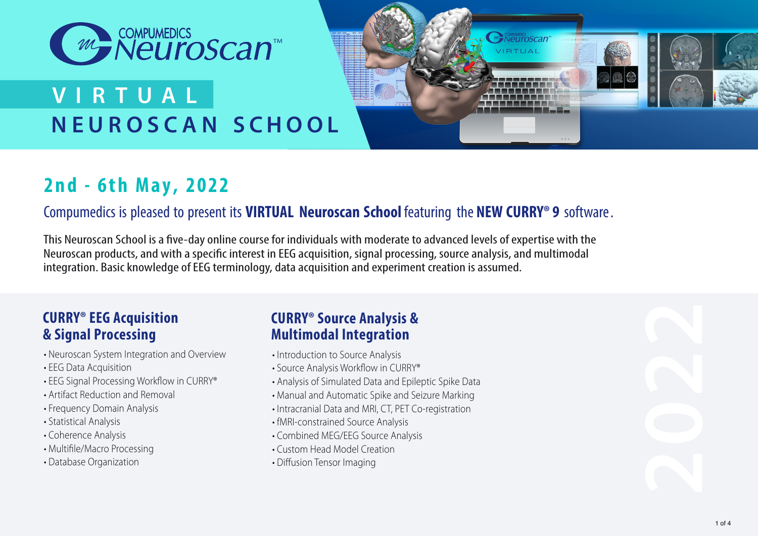

# **NEUROSCA N S CHOOL V I R T U A L**



# **2nd - 6th May, 2022**

### Compumedics is pleased to present its **VIRTUAL Neuroscan School** featuring the **NEW CURRY® 9** software.

This Neuroscan School is a five-day online course for individuals with moderate to advanced levels of expertise with the Neuroscan products, and with a specific interest in EEG acquisition, signal processing, source analysis, and multimodal integration. Basic knowledge of EEG terminology, data acquisition and experiment creation is assumed.

### **CURRY® EEG Acquisition & Signal Processing**

- Neuroscan System Integration and Overview
- EEG Data Acquisition
- EEG Signal Processing Workflow in CURRY®
- Artifact Reduction and Removal
- Frequency Domain Analysis
- Statistical Analysis
- Coherence Analysis
- Multifile/Macro Processing
- Database Organization

### **CURRY® Source Analysis & Multimodal Integration**

- Introduction to Source Analysis
- Source Analysis Workflow in CURRY®
- Analysis of Simulated Data and Epileptic Spike Data
- Manual and Automatic Spike and Seizure Marking
- Intracranial Data and MRI, CT, PET Co-registration
- fMRI-constrained Source Analysis
- Combined MEG/EEG Source Analysis
- Custom Head Model Creation
- Diffusion Tensor Imaging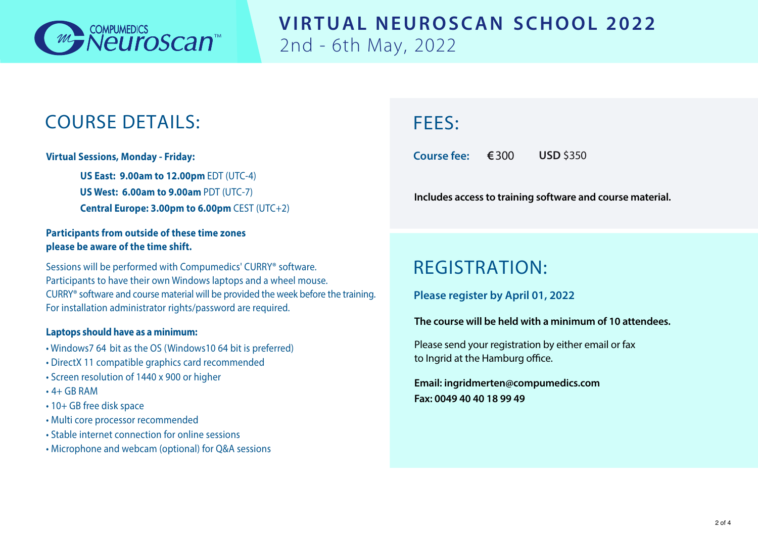

### **VIRTUAL NEUROSCAN SCHOOL 2022** 2nd - 6th May, 2022

# COURSE DETAILS:

**Virtual Sessions, Monday - Friday:** 

**US East: 9.00am to 12.00pm** EDT (UTC-4) **US West: 6.00am to 9.00am** PDT (UTC-7) **Central Europe: 3.00pm to 6.00pm** CEST (UTC+2)

#### **Participants from outside of these time zones please be aware of the time shift.**

Sessions will be performed with Compumedics' CURRY® software. Participants to have their own Windows laptops and a wheel mouse. CURRY® software and course material will be provided the week before the training. For installation administrator rights/password are required.

#### **Laptops should have as a minimum:**

- Windows7 64 bit as the OS (Windows10 64 bit is preferred)
- DirectX 11 compatible graphics card recommended
- Screen resolution of 1440 x 900 or higher
- $\cdot$  4+ GR RAM
- 10+ GB free disk space
- Multi core processor recommended
- Stable internet connection for online sessions
- Microphone and webcam (optional) for Q&A sessions

# FEES:

**Course fee: €**300 **USD** \$350

**Includes access to training software and course material.**

# REGISTRATION:

**Please register by April 01, 2022**

#### **The course will be held with a minimum of 10 attendees.**

Please send your registration by either email or fax to Ingrid at the Hamburg office.

**Email: ingridmerten@compumedics.com Fax: 0049 40 40 18 99 49**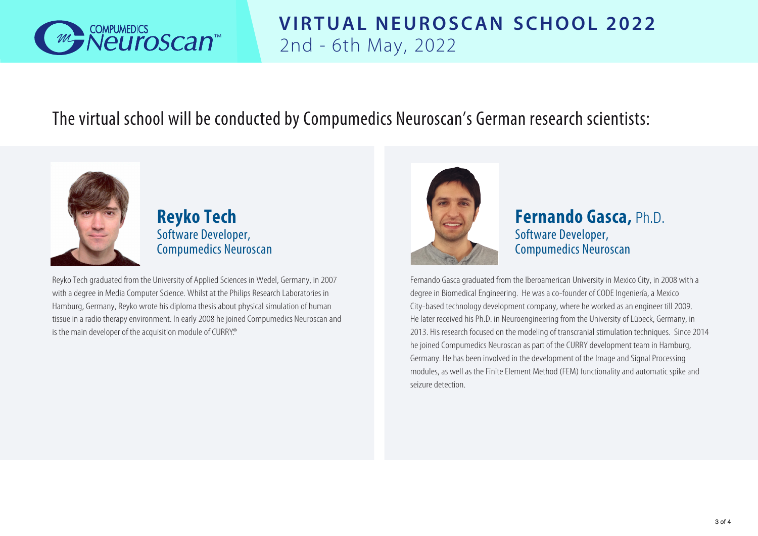

# **VIRTUAL NEUROSCAN SCHOOL 2022** 2nd - 6th May, 2022

### The virtual school will be conducted by Compumedics Neuroscan's German research scientists:



**Reyko Tech** Software Developer, Compumedics Neuroscan

Reyko Tech graduated from the University of Applied Sciences in Wedel, Germany, in 2007 with a degree in Media Computer Science. Whilst at the Philips Research Laboratories in Hamburg, Germany, Reyko wrote his diploma thesis about physical simulation of human tissue in a radio therapy environment. In early 2008 he joined Compumedics Neuroscan and is the main developer of the acquisition module of CURRY.<sup>®</sup>



**Fernando Gasca,** Ph.D. Software Developer, Compumedics Neuroscan

Fernando Gasca graduated from the Iberoamerican University in Mexico City, in 2008 with a degree in Biomedical Engineering. He was a co-founder of CODE Ingeniería, a Mexico City-based technology development company, where he worked as an engineer till 2009. He later received his Ph.D. in Neuroengineering from the University of Lübeck, Germany, in 2013. His research focused on the modeling of transcranial stimulation techniques. Since 2014 he joined Compumedics Neuroscan as part of the CURRY development team in Hamburg, Germany. He has been involved in the development of the Image and Signal Processing modules, as well as the Finite Element Method (FEM) functionality and automatic spike and seizure detection.